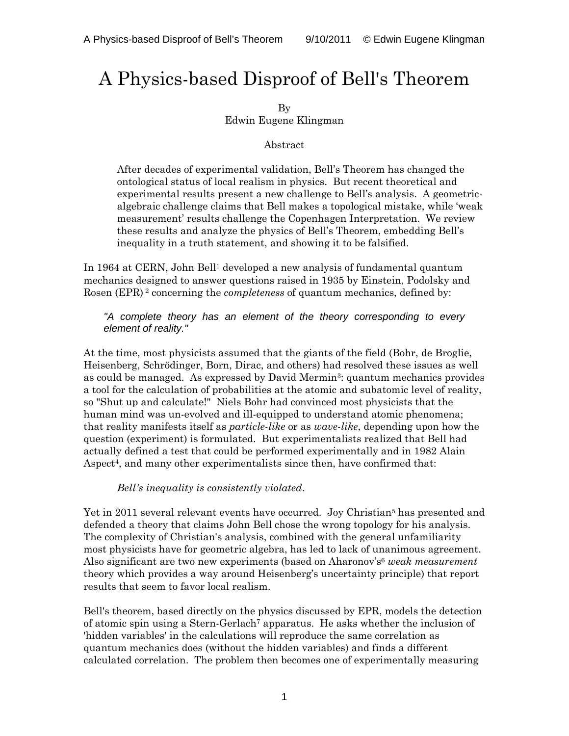# A Physics-based Disproof of Bell's Theorem

### By Edwin Eugene Klingman

## Abstract

After decades of experimental validation, Bell's Theorem has changed the ontological status of local realism in physics. But recent theoretical and experimental results present a new challenge to Bell's analysis. A geometricalgebraic challenge claims that Bell makes a topological mistake, while 'weak measurement' results challenge the Copenhagen Interpretation. We review these results and analyze the physics of Bell's Theorem, embedding Bell's inequality in a truth statement, and showing it to be falsified.

In 1964 at CERN, John Bell<sup>1</sup> developed a new analysis of fundamental quantum mechanics designed to answer questions raised in 1935 by Einstein, Podolsky and Rosen (EPR) 2 concerning the *completeness* of quantum mechanics, defined by:

*"A complete theory has an element of the theory corresponding to every element of reality."* 

At the time, most physicists assumed that the giants of the field (Bohr, de Broglie, Heisenberg, Schrödinger, Born, Dirac, and others) had resolved these issues as well as could be managed. As expressed by David Mermin<sup>3</sup>: quantum mechanics provides a tool for the calculation of probabilities at the atomic and subatomic level of reality, so "Shut up and calculate!" Niels Bohr had convinced most physicists that the human mind was un-evolved and ill-equipped to understand atomic phenomena; that reality manifests itself as *particle-like* or as *wave-like*, depending upon how the question (experiment) is formulated. But experimentalists realized that Bell had actually defined a test that could be performed experimentally and in 1982 Alain Aspect4, and many other experimentalists since then, have confirmed that:

## *Bell's inequality is consistently violated*.

Yet in 2011 several relevant events have occurred. Joy Christian<sup>5</sup> has presented and defended a theory that claims John Bell chose the wrong topology for his analysis. The complexity of Christian's analysis, combined with the general unfamiliarity most physicists have for geometric algebra, has led to lack of unanimous agreement. Also significant are two new experiments (based on Aharonov's6 *weak measurement* theory which provides a way around Heisenberg's uncertainty principle) that report results that seem to favor local realism.

Bell's theorem, based directly on the physics discussed by EPR, models the detection of atomic spin using a Stern-Gerlach7 apparatus. He asks whether the inclusion of 'hidden variables' in the calculations will reproduce the same correlation as quantum mechanics does (without the hidden variables) and finds a different calculated correlation. The problem then becomes one of experimentally measuring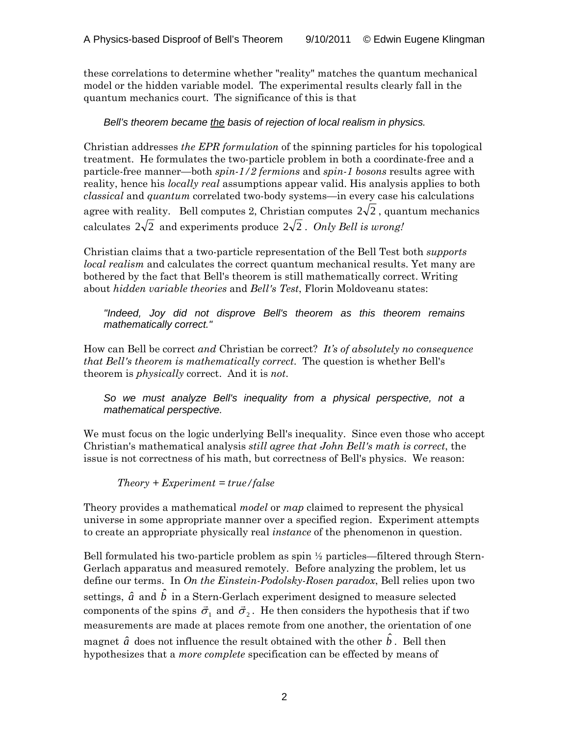these correlations to determine whether "reality" matches the quantum mechanical model or the hidden variable model. The experimental results clearly fall in the quantum mechanics court. The significance of this is that

*Bell's theorem became the basis of rejection of local realism in physics.* 

Christian addresses *the EPR formulation* of the spinning particles for his topological treatment. He formulates the two-particle problem in both a coordinate-free and a particle-free manner—both *spin-1/2 fermions* and *spin-1 bosons* results agree with reality, hence his *locally real* assumptions appear valid. His analysis applies to both *classical* and *quantum* correlated two-body systems—in every case his calculations agree with reality. Bell computes 2, Christian computes  $2\sqrt{2}$ , quantum mechanics calculates  $2\sqrt{2}$  and experiments produce  $2\sqrt{2}$ . *Only Bell is wrong!* 

Christian claims that a two-particle representation of the Bell Test both *supports local realism* and calculates the correct quantum mechanical results. Yet many are bothered by the fact that Bell's theorem is still mathematically correct. Writing about *hidden variable theories* and *Bell's Test*, Florin Moldoveanu states:

*"Indeed, Joy did not disprove Bell's theorem as this theorem remains mathematically correct."* 

How can Bell be correct *and* Christian be correct? *It's of absolutely no consequence that Bell's theorem is mathematically correct*. The question is whether Bell's theorem is *physically* correct. And it is *not*.

*So we must analyze Bell's inequality from a physical perspective, not a mathematical perspective.* 

We must focus on the logic underlying Bell's inequality. Since even those who accept Christian's mathematical analysis *still agree that John Bell's math is correct*, the issue is not correctness of his math, but correctness of Bell's physics. We reason:

*Theory + Experiment = true/false* 

Theory provides a mathematical *model* or *map* claimed to represent the physical universe in some appropriate manner over a specified region. Experiment attempts to create an appropriate physically real *instance* of the phenomenon in question.

Bell formulated his two-particle problem as spin ½ particles—filtered through Stern-Gerlach apparatus and measured remotely. Before analyzing the problem, let us define our terms. In *On the Einstein-Podolsky-Rosen paradox*, Bell relies upon two settings,  $\hat{a}$  and  $\hat{b}$  in a Stern-Gerlach experiment designed to measure selected components of the spins  $\vec{\sigma}_1$  and  $\vec{\sigma}_2$ . He then considers the hypothesis that if two measurements are made at places remote from one another, the orientation of one magnet  $\hat{a}$  does not influence the result obtained with the other  $\hat{b}$  . Bell then hypothesizes that a *more complete* specification can be effected by means of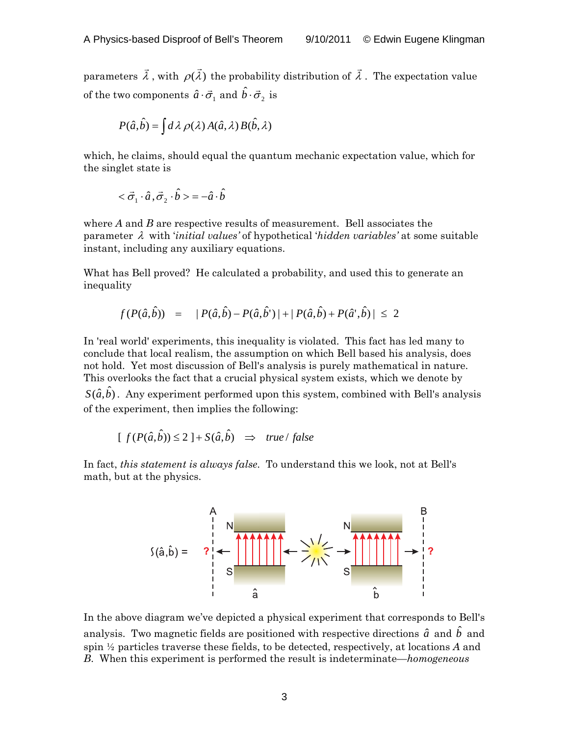parameters  $\vec{\lambda}$  , with  $\rho(\vec{\lambda})$  the probability distribution of  $\vec{\lambda}$  . The expectation value of the two components  $\hat{a} \cdot \vec{\sigma}_1$  and  $\hat{b} \cdot \vec{\sigma}_2$  is

$$
P(\hat{a}, \hat{b}) = \int d\lambda \, \rho(\lambda) \, A(\hat{a}, \lambda) \, B(\hat{b}, \lambda)
$$

which, he claims, should equal the quantum mechanic expectation value, which for the singlet state is

$$
<\vec{\sigma}_1\cdot\hat{a}\,,\vec{\sigma}_2\cdot\hat{b}>=-\hat{a}\cdot\hat{b}
$$

where *A* and *B* are respective results of measurement. Bell associates the parameter λ with '*initial values'* of hypothetical '*hidden variables'* at some suitable instant, including any auxiliary equations.

What has Bell proved? He calculated a probability, and used this to generate an inequality

$$
f(P(\hat{a},\hat{b})) = |P(\hat{a},\hat{b}) - P(\hat{a},\hat{b}')| + |P(\hat{a},\hat{b}) + P(\hat{a}',\hat{b})| \leq 2
$$

In 'real world' experiments, this inequality is violated. This fact has led many to conclude that local realism, the assumption on which Bell based his analysis, does not hold. Yet most discussion of Bell's analysis is purely mathematical in nature. This overlooks the fact that a crucial physical system exists, which we denote by  $S(\hat{a}, \hat{b})$ . Any experiment performed upon this system, combined with Bell's analysis of the experiment, then implies the following:

$$
[f(P(\hat{a}, \hat{b})) \le 2] + S(\hat{a}, \hat{b}) \Rightarrow true / false
$$

In fact, *this statement is always false*. To understand this we look, not at Bell's math, but at the physics.



In the above diagram we've depicted a physical experiment that corresponds to Bell's analysis. Two magnetic fields are positioned with respective directions  $\hat{a}$  and  $\hat{b}$  and spin ½ particles traverse these fields, to be detected, respectively, at locations *A* and *B*. When this experiment is performed the result is indeterminate—*homogeneous*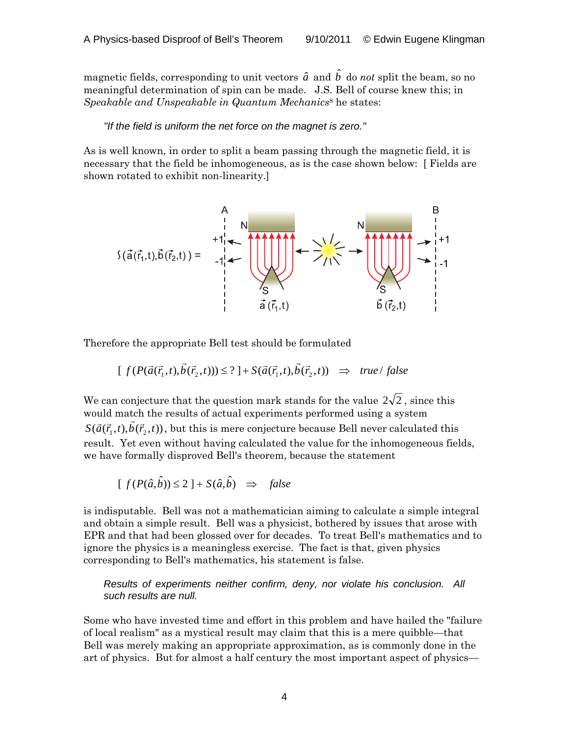magnetic fields, corresponding to unit vectors  $\hat{a}$  and  $\hat{b}$  do *not* split the beam, so no meaningful determination of spin can be made. J.S. Bell of course knew this; in *Speakable and Unspeakable in Quantum Mechanics*<sup>8</sup> he states:

#### *"If the field is uniform the net force on the magnet is zero."*

As is well known, in order to split a beam passing through the magnetic field, it is necessary that the field be inhomogeneous, as is the case shown below: [ Fields are shown rotated to exhibit non-linearity.]

$$
S(\vec{a}(\vec{r}_1,t),\vec{b}(\vec{r}_2,t)) = \begin{array}{c} A & B \\ +1 & A \\ +1 & A \\ -1 & A \end{array}
$$

Therefore the appropriate Bell test should be formulated

$$
[f(P(\vec{a}(\vec{r}_1,t),\vec{b}(\vec{r}_2,t))) \leq ?] + S(\vec{a}(\vec{r}_1,t),\vec{b}(\vec{r}_2,t)) \implies \text{true} / \text{false}
$$

We can conjecture that the question mark stands for the value  $2\sqrt{2}$  , since this would match the results of actual experiments performed using a system  $S(\vec{a}(\vec{r}_1,t),\vec{b}(\vec{r}_2,t))$ , but this is mere conjecture because Bell never calculated this result. Yet even without having calculated the value for the inhomogeneous fields, we have formally disproved Bell's theorem, because the statement

$$
[f(P(\hat{a}, \hat{b})) \le 2] + S(\hat{a}, \hat{b}) \Rightarrow false
$$

is indisputable. Bell was not a mathematician aiming to calculate a simple integral and obtain a simple result. Bell was a physicist, bothered by issues that arose with EPR and that had been glossed over for decades. To treat Bell's mathematics and to ignore the physics is a meaningless exercise. The fact is that, given physics corresponding to Bell's mathematics, his statement is false.

*Results of experiments neither confirm, deny, nor violate his conclusion. All such results are null.* 

Some who have invested time and effort in this problem and have hailed the "failure of local realism" as a mystical result may claim that this is a mere quibble—that Bell was merely making an appropriate approximation, as is commonly done in the art of physics. But for almost a half century the most important aspect of physics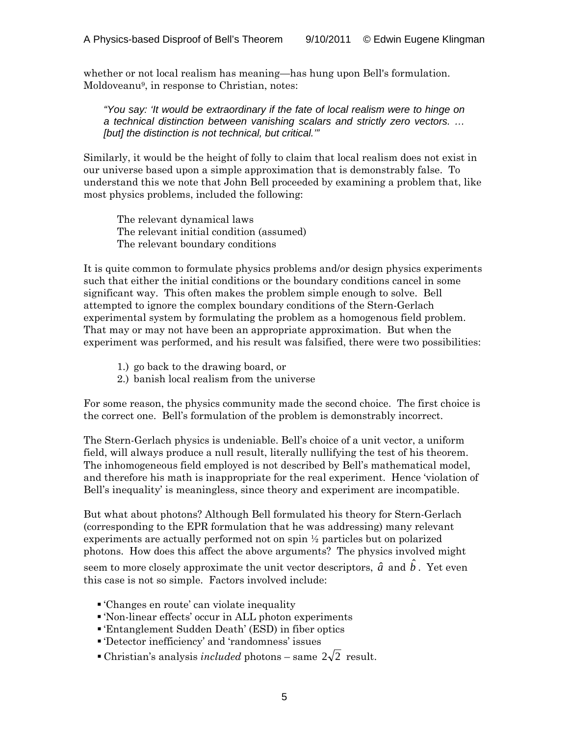whether or not local realism has meaning—has hung upon Bell's formulation. Moldoveanu9, in response to Christian, notes:

*"You say: 'It would be extraordinary if the fate of local realism were to hinge on a technical distinction between vanishing scalars and strictly zero vectors. … [but] the distinction is not technical, but critical.'"* 

Similarly, it would be the height of folly to claim that local realism does not exist in our universe based upon a simple approximation that is demonstrably false. To understand this we note that John Bell proceeded by examining a problem that, like most physics problems, included the following:

 The relevant dynamical laws The relevant initial condition (assumed) The relevant boundary conditions

It is quite common to formulate physics problems and/or design physics experiments such that either the initial conditions or the boundary conditions cancel in some significant way. This often makes the problem simple enough to solve. Bell attempted to ignore the complex boundary conditions of the Stern-Gerlach experimental system by formulating the problem as a homogenous field problem. That may or may not have been an appropriate approximation. But when the experiment was performed, and his result was falsified, there were two possibilities:

- 1.) go back to the drawing board, or
- 2.) banish local realism from the universe

For some reason, the physics community made the second choice. The first choice is the correct one. Bell's formulation of the problem is demonstrably incorrect.

The Stern-Gerlach physics is undeniable. Bell's choice of a unit vector, a uniform field, will always produce a null result, literally nullifying the test of his theorem. The inhomogeneous field employed is not described by Bell's mathematical model, and therefore his math is inappropriate for the real experiment. Hence 'violation of Bell's inequality' is meaningless, since theory and experiment are incompatible.

But what about photons? Although Bell formulated his theory for Stern-Gerlach (corresponding to the EPR formulation that he was addressing) many relevant experiments are actually performed not on spin ½ particles but on polarized photons. How does this affect the above arguments? The physics involved might

seem to more closely approximate the unit vector descriptors,  $\hat{a}$  and  $\hat{b}$ . Yet even this case is not so simple. Factors involved include:

- 'Changes en route' can violate inequality
- 'Non-linear effects' occur in ALL photon experiments
- 'Entanglement Sudden Death' (ESD) in fiber optics
- 'Detector inefficiency' and 'randomness' issues
- **Christian's analysis** *included* photons same  $2\sqrt{2}$  result.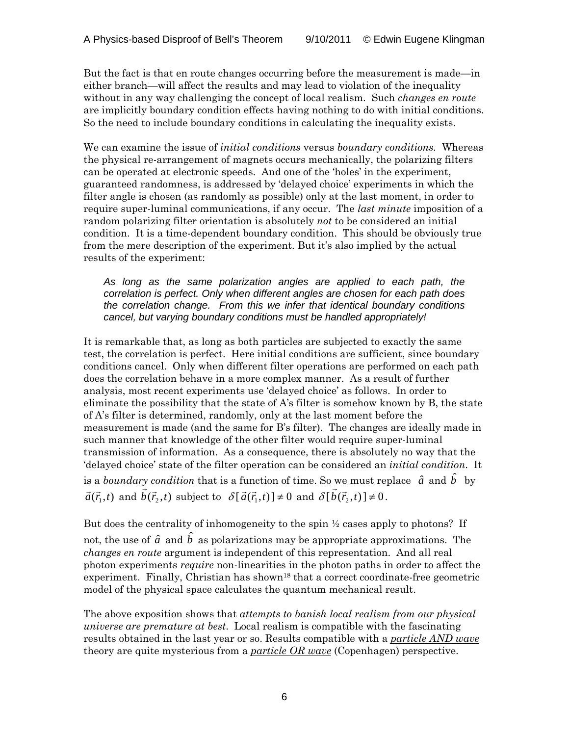But the fact is that en route changes occurring before the measurement is made—in either branch—will affect the results and may lead to violation of the inequality without in any way challenging the concept of local realism. Such *changes en route* are implicitly boundary condition effects having nothing to do with initial conditions. So the need to include boundary conditions in calculating the inequality exists.

We can examine the issue of *initial conditions* versus *boundary conditions.* Whereas the physical re-arrangement of magnets occurs mechanically, the polarizing filters can be operated at electronic speeds. And one of the 'holes' in the experiment, guaranteed randomness, is addressed by 'delayed choice' experiments in which the filter angle is chosen (as randomly as possible) only at the last moment, in order to require super-luminal communications, if any occur. The *last minute* imposition of a random polarizing filter orientation is absolutely *not* to be considered an initial condition. It is a time-dependent boundary condition. This should be obviously true from the mere description of the experiment. But it's also implied by the actual results of the experiment:

*As long as the same polarization angles are applied to each path, the correlation is perfect. Only when different angles are chosen for each path does the correlation change. From this we infer that identical boundary conditions cancel, but varying boundary conditions must be handled appropriately!* 

It is remarkable that, as long as both particles are subjected to exactly the same test, the correlation is perfect. Here initial conditions are sufficient, since boundary conditions cancel. Only when different filter operations are performed on each path does the correlation behave in a more complex manner. As a result of further analysis, most recent experiments use 'delayed choice' as follows. In order to eliminate the possibility that the state of A's filter is somehow known by B, the state of A's filter is determined, randomly, only at the last moment before the measurement is made (and the same for B's filter). The changes are ideally made in such manner that knowledge of the other filter would require super-luminal transmission of information. As a consequence, there is absolutely no way that the 'delayed choice' state of the filter operation can be considered an *initial condition*. It is a *boundary condition* that is a function of time. So we must replace  $\hat{a}$  and  $\hat{b}$  by  $\vec{a}(\vec{r}_1,t)$  and  $\vec{b}(\vec{r}_2,t)$  subject to  $\delta[\vec{a}(\vec{r}_1,t)] \neq 0$  and  $\delta[\vec{b}(\vec{r}_2,t)] \neq 0$ .

But does the centrality of inhomogeneity to the spin  $\frac{1}{2}$  cases apply to photons? If not, the use of  $\hat{a}$  and  $\hat{b}$  as polarizations may be appropriate approximations. The *changes en route* argument is independent of this representation. And all real photon experiments *require* non-linearities in the photon paths in order to affect the experiment. Finally, Christian has shown<sup>18</sup> that a correct coordinate-free geometric model of the physical space calculates the quantum mechanical result.

The above exposition shows that *attempts to banish local realism from our physical universe are premature at best*. Local realism is compatible with the fascinating results obtained in the last year or so. Results compatible with a *particle AND wave* theory are quite mysterious from a *particle OR wave* (Copenhagen) perspective.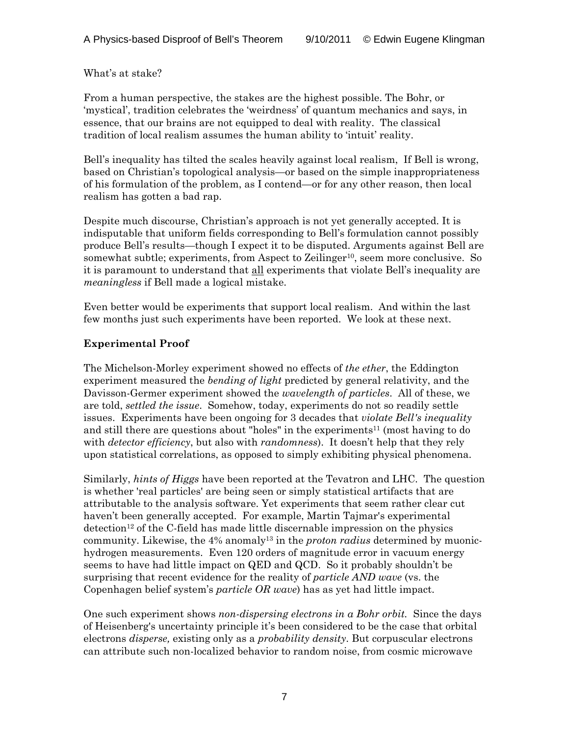What's at stake?

From a human perspective, the stakes are the highest possible. The Bohr, or 'mystical', tradition celebrates the 'weirdness' of quantum mechanics and says, in essence, that our brains are not equipped to deal with reality. The classical tradition of local realism assumes the human ability to 'intuit' reality.

Bell's inequality has tilted the scales heavily against local realism, If Bell is wrong, based on Christian's topological analysis—or based on the simple inappropriateness of his formulation of the problem, as I contend—or for any other reason, then local realism has gotten a bad rap.

Despite much discourse, Christian's approach is not yet generally accepted. It is indisputable that uniform fields corresponding to Bell's formulation cannot possibly produce Bell's results—though I expect it to be disputed. Arguments against Bell are somewhat subtle; experiments, from Aspect to Zeilinger<sup>10</sup>, seem more conclusive. So it is paramount to understand that all experiments that violate Bell's inequality are *meaningless* if Bell made a logical mistake.

Even better would be experiments that support local realism. And within the last few months just such experiments have been reported. We look at these next.

# **Experimental Proof**

The Michelson-Morley experiment showed no effects of *the ether*, the Eddington experiment measured the *bending of light* predicted by general relativity, and the Davisson-Germer experiment showed the *wavelength of particles*. All of these, we are told, *settled the issue*. Somehow, today, experiments do not so readily settle issues. Experiments have been ongoing for 3 decades that *violate Bell's inequality* and still there are questions about "holes" in the experiments<sup>11</sup> (most having to do with *detector efficiency*, but also with *randomness*). It doesn't help that they rely upon statistical correlations, as opposed to simply exhibiting physical phenomena.

Similarly, *hints of Higgs* have been reported at the Tevatron and LHC. The question is whether 'real particles' are being seen or simply statistical artifacts that are attributable to the analysis software. Yet experiments that seem rather clear cut haven't been generally accepted. For example, Martin Tajmar's experimental detection12 of the C-field has made little discernable impression on the physics community. Likewise, the 4% anomaly13 in the *proton radius* determined by muonichydrogen measurements. Even 120 orders of magnitude error in vacuum energy seems to have had little impact on QED and QCD. So it probably shouldn't be surprising that recent evidence for the reality of *particle AND wave* (vs. the Copenhagen belief system's *particle OR wave*) has as yet had little impact.

One such experiment shows *non-dispersing electrons in a Bohr orbit.* Since the days of Heisenberg's uncertainty principle it's been considered to be the case that orbital electrons *disperse,* existing only as a *probability density*. But corpuscular electrons can attribute such non-localized behavior to random noise, from cosmic microwave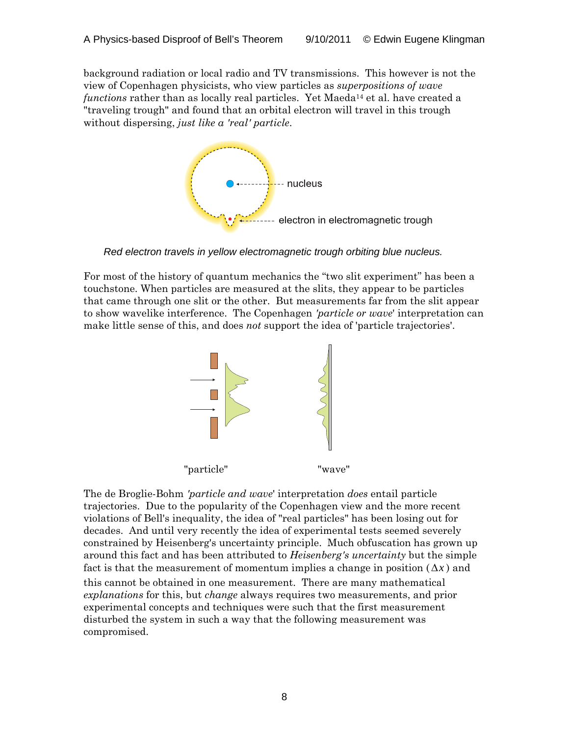background radiation or local radio and TV transmissions. This however is not the view of Copenhagen physicists, who view particles as *superpositions of wave functions* rather than as locally real particles. Yet Maeda<sup>14</sup> et al. have created a "traveling trough" and found that an orbital electron will travel in this trough without dispersing, *just like a 'real' particle*.



*Red electron travels in yellow electromagnetic trough orbiting blue nucleus.* 

For most of the history of quantum mechanics the "two slit experiment" has been a touchstone. When particles are measured at the slits, they appear to be particles that came through one slit or the other. But measurements far from the slit appear to show wavelike interference. The Copenhagen *'particle or wave*' interpretation can make little sense of this, and does *not* support the idea of 'particle trajectories'.



The de Broglie-Bohm *'particle and wave*' interpretation *does* entail particle trajectories. Due to the popularity of the Copenhagen view and the more recent violations of Bell's inequality, the idea of "real particles" has been losing out for decades. And until very recently the idea of experimental tests seemed severely constrained by Heisenberg's uncertainty principle. Much obfuscation has grown up around this fact and has been attributed to *Heisenberg's uncertainty* but the simple fact is that the measurement of momentum implies a change in position  $(\Delta x)$  and this cannot be obtained in one measurement. There are many mathematical *explanations* for this, but *change* always requires two measurements, and prior experimental concepts and techniques were such that the first measurement disturbed the system in such a way that the following measurement was compromised.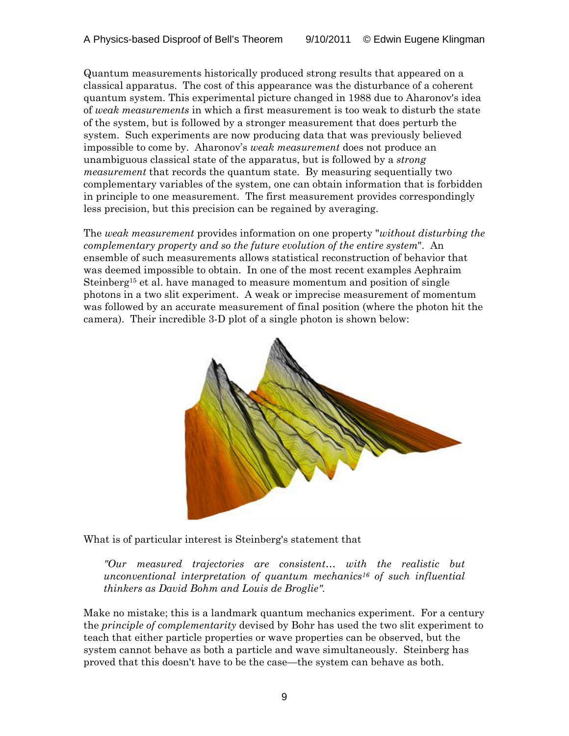Quantum measurements historically produced strong results that appeared on a classical apparatus. The cost of this appearance was the disturbance of a coherent quantum system. This experimental picture changed in 1988 due to Aharonov's idea of *weak measurements* in which a first measurement is too weak to disturb the state of the system, but is followed by a stronger measurement that does perturb the system. Such experiments are now producing data that was previously believed impossible to come by. Aharonov's *weak measurement* does not produce an unambiguous classical state of the apparatus, but is followed by a *strong measurement* that records the quantum state. By measuring sequentially two complementary variables of the system, one can obtain information that is forbidden in principle to one measurement. The first measurement provides correspondingly less precision, but this precision can be regained by averaging.

The *weak measurement* provides information on one property "*without disturbing the complementary property and so the future evolution of the entire system*". An ensemble of such measurements allows statistical reconstruction of behavior that was deemed impossible to obtain. In one of the most recent examples Aephraim Steinberg<sup>15</sup> et al. have managed to measure momentum and position of single photons in a two slit experiment. A weak or imprecise measurement of momentum was followed by an accurate measurement of final position (where the photon hit the camera). Their incredible 3-D plot of a single photon is shown below:



What is of particular interest is Steinberg's statement that

*"Our measured trajectories are consistent… with the realistic but unconventional interpretation of quantum mechanics16 of such influential thinkers as David Bohm and Louis de Broglie".* 

Make no mistake; this is a landmark quantum mechanics experiment. For a century the *principle of complementarity* devised by Bohr has used the two slit experiment to teach that either particle properties or wave properties can be observed, but the system cannot behave as both a particle and wave simultaneously. Steinberg has proved that this doesn't have to be the case—the system can behave as both.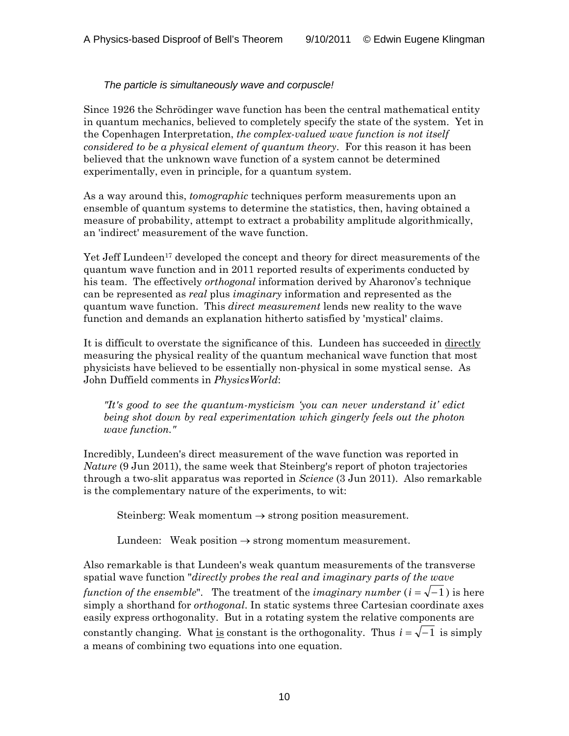# *The particle is simultaneously wave and corpuscle!*

Since 1926 the Schrödinger wave function has been the central mathematical entity in quantum mechanics, believed to completely specify the state of the system. Yet in the Copenhagen Interpretation, *the complex-valued wave function is not itself considered to be a physical element of quantum theory*. For this reason it has been believed that the unknown wave function of a system cannot be determined experimentally, even in principle, for a quantum system.

As a way around this, *tomographic* techniques perform measurements upon an ensemble of quantum systems to determine the statistics, then, having obtained a measure of probability, attempt to extract a probability amplitude algorithmically, an 'indirect' measurement of the wave function.

Yet Jeff Lundeen<sup>17</sup> developed the concept and theory for direct measurements of the quantum wave function and in 2011 reported results of experiments conducted by his team. The effectively *orthogonal* information derived by Aharonov's technique can be represented as *real* plus *imaginary* information and represented as the quantum wave function. This *direct measurement* lends new reality to the wave function and demands an explanation hitherto satisfied by 'mystical' claims.

It is difficult to overstate the significance of this. Lundeen has succeeded in directly measuring the physical reality of the quantum mechanical wave function that most physicists have believed to be essentially non-physical in some mystical sense. As John Duffield comments in *PhysicsWorld*:

*"It's good to see the quantum-mysticism 'you can never understand it' edict being shot down by real experimentation which gingerly feels out the photon wave function."* 

Incredibly, Lundeen's direct measurement of the wave function was reported in *Nature* (9 Jun 2011), the same week that Steinberg's report of photon trajectories through a two-slit apparatus was reported in *Science* (3 Jun 2011). Also remarkable is the complementary nature of the experiments, to wit:

Steinberg: Weak momentum  $\rightarrow$  strong position measurement.

Lundeen: Weak position  $\rightarrow$  strong momentum measurement.

Also remarkable is that Lundeen's weak quantum measurements of the transverse spatial wave function "*directly probes the real and imaginary parts of the wave function of the ensemble*". The treatment of the *imaginary number*  $(i = \sqrt{-1})$  is here simply a shorthand for *orthogonal*. In static systems three Cartesian coordinate axes easily express orthogonality. But in a rotating system the relative components are constantly changing. What <u>is</u> constant is the orthogonality. Thus  $i = \sqrt{-1}$  is simply a means of combining two equations into one equation.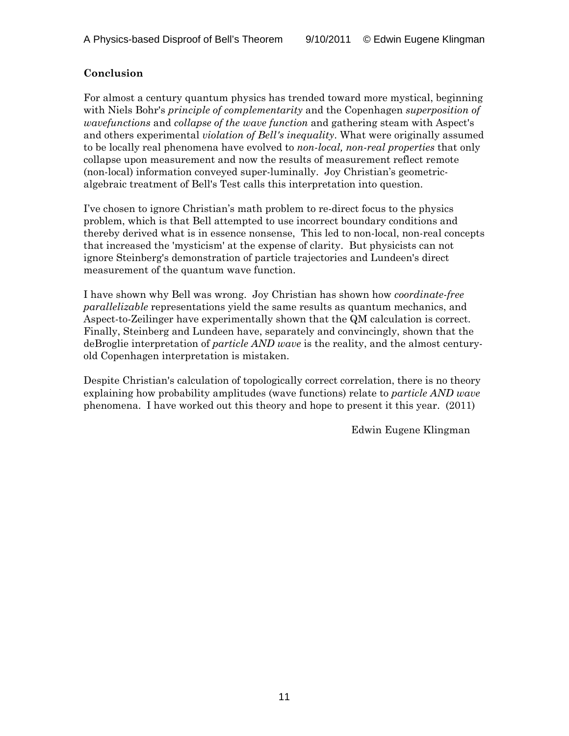# **Conclusion**

For almost a century quantum physics has trended toward more mystical, beginning with Niels Bohr's *principle of complementarity* and the Copenhagen *superposition of wavefunctions* and *collapse of the wave function* and gathering steam with Aspect's and others experimental *violation of Bell's inequality*. What were originally assumed to be locally real phenomena have evolved to *non-local, non-real properties* that only collapse upon measurement and now the results of measurement reflect remote (non-local) information conveyed super-luminally. Joy Christian's geometricalgebraic treatment of Bell's Test calls this interpretation into question.

I've chosen to ignore Christian's math problem to re-direct focus to the physics problem, which is that Bell attempted to use incorrect boundary conditions and thereby derived what is in essence nonsense, This led to non-local, non-real concepts that increased the 'mysticism' at the expense of clarity. But physicists can not ignore Steinberg's demonstration of particle trajectories and Lundeen's direct measurement of the quantum wave function.

I have shown why Bell was wrong. Joy Christian has shown how *coordinate-free parallelizable* representations yield the same results as quantum mechanics, and Aspect-to-Zeilinger have experimentally shown that the QM calculation is correct. Finally, Steinberg and Lundeen have, separately and convincingly, shown that the deBroglie interpretation of *particle AND wave* is the reality, and the almost centuryold Copenhagen interpretation is mistaken.

Despite Christian's calculation of topologically correct correlation, there is no theory explaining how probability amplitudes (wave functions) relate to *particle AND wave* phenomena. I have worked out this theory and hope to present it this year. (2011)

Edwin Eugene Klingman